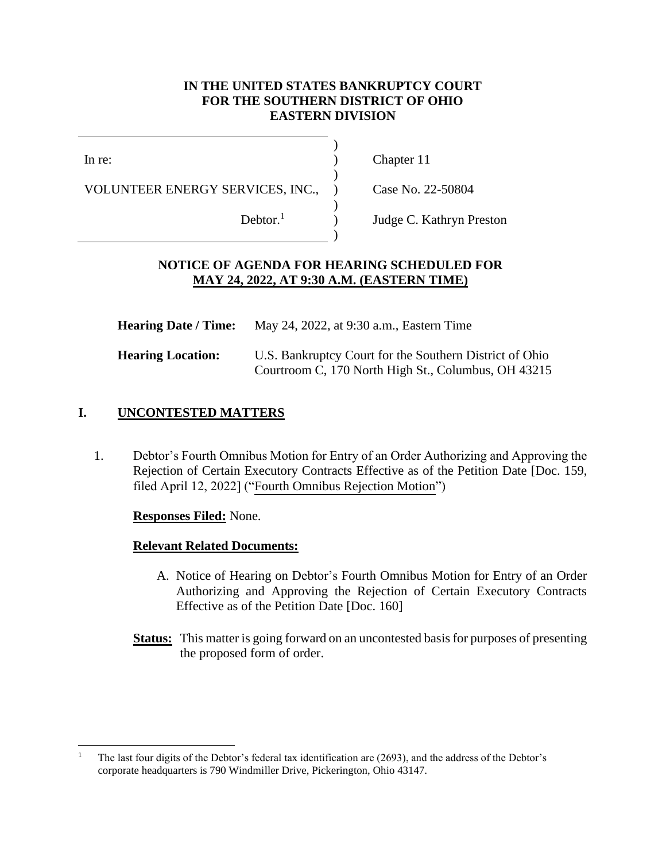### **IN THE UNITED STATES BANKRUPTCY COURT FOR THE SOUTHERN DISTRICT OF OHIO EASTERN DIVISION**

)

)

)

)

In re:

VOLUNTEER ENERGY SERVICES, INC.,

) Chapter 11

) Case No. 22-50804

Debtor. $<sup>1</sup>$ </sup>

) Judge C. Kathryn Preston

### **NOTICE OF AGENDA FOR HEARING SCHEDULED FOR MAY 24, 2022, AT 9:30 A.M. (EASTERN TIME)**

| <b>Hearing Date / Time:</b> | May 24, 2022, at 9:30 a.m., Eastern Time                                                                       |
|-----------------------------|----------------------------------------------------------------------------------------------------------------|
| <b>Hearing Location:</b>    | U.S. Bankruptcy Court for the Southern District of Ohio<br>Courtroom C, 170 North High St., Columbus, OH 43215 |

## **I. UNCONTESTED MATTERS**

1. Debtor's Fourth Omnibus Motion for Entry of an Order Authorizing and Approving the Rejection of Certain Executory Contracts Effective as of the Petition Date [Doc. 159, filed April 12, 2022] ("Fourth Omnibus Rejection Motion")

## **Responses Filed:** None.

#### **Relevant Related Documents:**

- A. Notice of Hearing on Debtor's Fourth Omnibus Motion for Entry of an Order Authorizing and Approving the Rejection of Certain Executory Contracts Effective as of the Petition Date [Doc. 160]
- **Status:** This matter is going forward on an uncontested basis for purposes of presenting the proposed form of order.

<sup>1</sup> The last four digits of the Debtor's federal tax identification are (2693), and the address of the Debtor's corporate headquarters is 790 Windmiller Drive, Pickerington, Ohio 43147.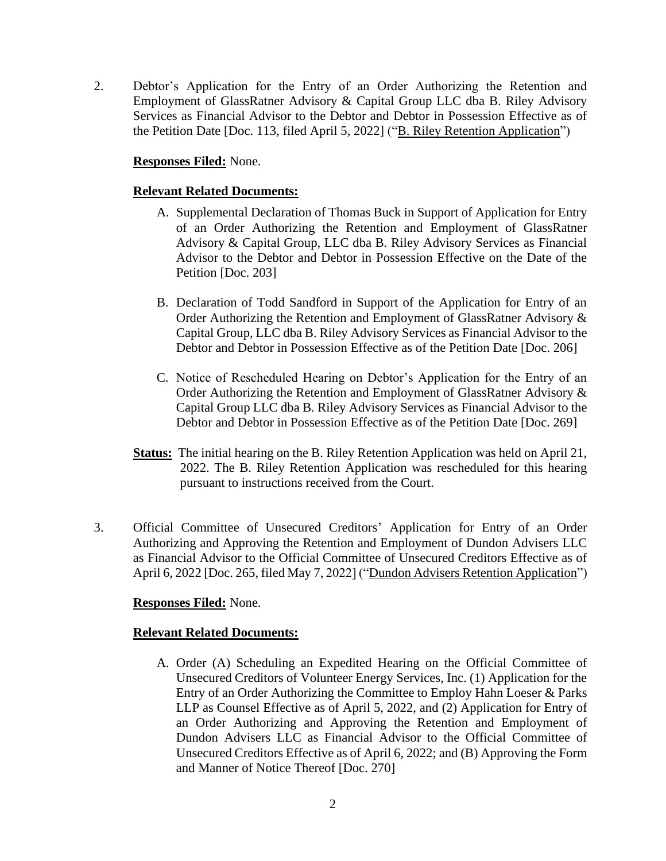2. Debtor's Application for the Entry of an Order Authorizing the Retention and Employment of GlassRatner Advisory & Capital Group LLC dba B. Riley Advisory Services as Financial Advisor to the Debtor and Debtor in Possession Effective as of the Petition Date [Doc. 113, filed April 5, 2022] ("B. Riley Retention Application")

### **Responses Filed:** None.

### **Relevant Related Documents:**

- A. Supplemental Declaration of Thomas Buck in Support of Application for Entry of an Order Authorizing the Retention and Employment of GlassRatner Advisory & Capital Group, LLC dba B. Riley Advisory Services as Financial Advisor to the Debtor and Debtor in Possession Effective on the Date of the Petition [Doc. 203]
- B. Declaration of Todd Sandford in Support of the Application for Entry of an Order Authorizing the Retention and Employment of GlassRatner Advisory & Capital Group, LLC dba B. Riley Advisory Services as Financial Advisor to the Debtor and Debtor in Possession Effective as of the Petition Date [Doc. 206]
- C. Notice of Rescheduled Hearing on Debtor's Application for the Entry of an Order Authorizing the Retention and Employment of GlassRatner Advisory & Capital Group LLC dba B. Riley Advisory Services as Financial Advisor to the Debtor and Debtor in Possession Effective as of the Petition Date [Doc. 269]
- **Status:** The initial hearing on the B. Riley Retention Application was held on April 21, 2022. The B. Riley Retention Application was rescheduled for this hearing pursuant to instructions received from the Court.
- 3. Official Committee of Unsecured Creditors' Application for Entry of an Order Authorizing and Approving the Retention and Employment of Dundon Advisers LLC as Financial Advisor to the Official Committee of Unsecured Creditors Effective as of April 6, 2022 [Doc. 265, filed May 7, 2022] ("Dundon Advisers Retention Application")

#### **Responses Filed:** None.

## **Relevant Related Documents:**

A. Order (A) Scheduling an Expedited Hearing on the Official Committee of Unsecured Creditors of Volunteer Energy Services, Inc. (1) Application for the Entry of an Order Authorizing the Committee to Employ Hahn Loeser & Parks LLP as Counsel Effective as of April 5, 2022, and (2) Application for Entry of an Order Authorizing and Approving the Retention and Employment of Dundon Advisers LLC as Financial Advisor to the Official Committee of Unsecured Creditors Effective as of April 6, 2022; and (B) Approving the Form and Manner of Notice Thereof [Doc. 270]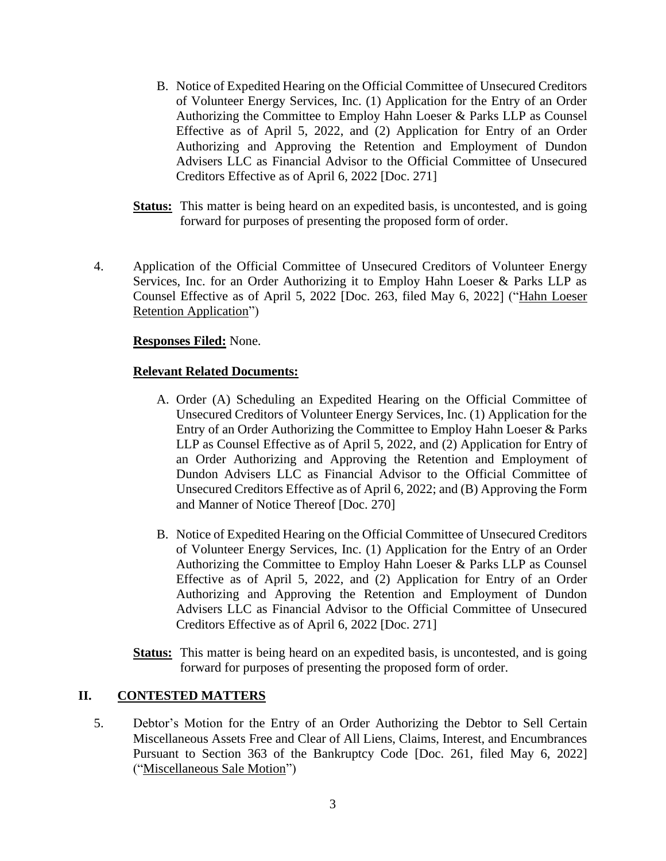- B. Notice of Expedited Hearing on the Official Committee of Unsecured Creditors of Volunteer Energy Services, Inc. (1) Application for the Entry of an Order Authorizing the Committee to Employ Hahn Loeser & Parks LLP as Counsel Effective as of April 5, 2022, and (2) Application for Entry of an Order Authorizing and Approving the Retention and Employment of Dundon Advisers LLC as Financial Advisor to the Official Committee of Unsecured Creditors Effective as of April 6, 2022 [Doc. 271]
- **Status:** This matter is being heard on an expedited basis, is uncontested, and is going forward for purposes of presenting the proposed form of order.
- 4. Application of the Official Committee of Unsecured Creditors of Volunteer Energy Services, Inc. for an Order Authorizing it to Employ Hahn Loeser & Parks LLP as Counsel Effective as of April 5, 2022 [Doc. 263, filed May 6, 2022] ("Hahn Loeser Retention Application")

#### **Responses Filed:** None.

#### **Relevant Related Documents:**

- A. Order (A) Scheduling an Expedited Hearing on the Official Committee of Unsecured Creditors of Volunteer Energy Services, Inc. (1) Application for the Entry of an Order Authorizing the Committee to Employ Hahn Loeser & Parks LLP as Counsel Effective as of April 5, 2022, and (2) Application for Entry of an Order Authorizing and Approving the Retention and Employment of Dundon Advisers LLC as Financial Advisor to the Official Committee of Unsecured Creditors Effective as of April 6, 2022; and (B) Approving the Form and Manner of Notice Thereof [Doc. 270]
- B. Notice of Expedited Hearing on the Official Committee of Unsecured Creditors of Volunteer Energy Services, Inc. (1) Application for the Entry of an Order Authorizing the Committee to Employ Hahn Loeser & Parks LLP as Counsel Effective as of April 5, 2022, and (2) Application for Entry of an Order Authorizing and Approving the Retention and Employment of Dundon Advisers LLC as Financial Advisor to the Official Committee of Unsecured Creditors Effective as of April 6, 2022 [Doc. 271]
- **Status:** This matter is being heard on an expedited basis, is uncontested, and is going forward for purposes of presenting the proposed form of order.

#### **II. CONTESTED MATTERS**

5. Debtor's Motion for the Entry of an Order Authorizing the Debtor to Sell Certain Miscellaneous Assets Free and Clear of All Liens, Claims, Interest, and Encumbrances Pursuant to Section 363 of the Bankruptcy Code [Doc. 261, filed May 6, 2022] ("Miscellaneous Sale Motion")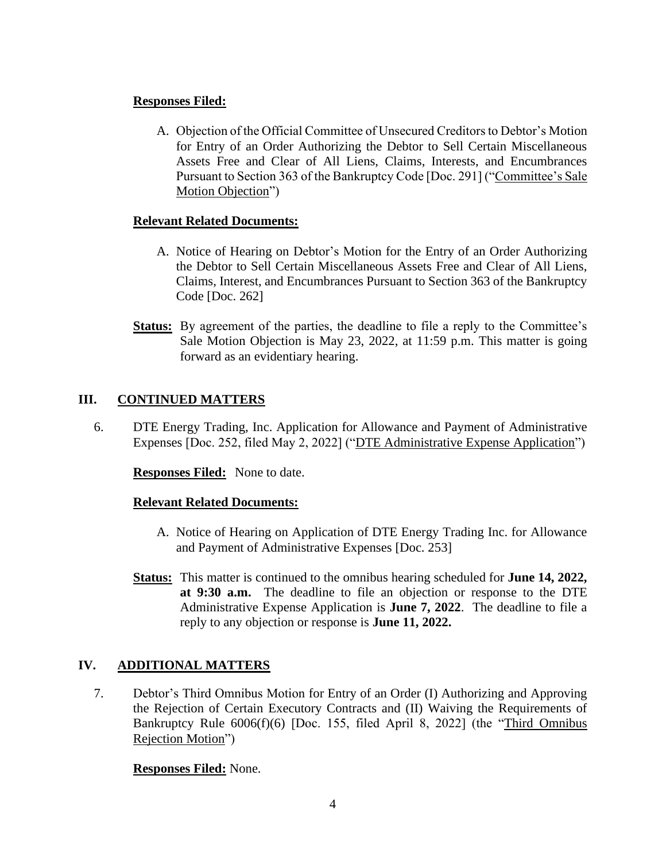# **Responses Filed:**

A. Objection of the Official Committee of Unsecured Creditors to Debtor's Motion for Entry of an Order Authorizing the Debtor to Sell Certain Miscellaneous Assets Free and Clear of All Liens, Claims, Interests, and Encumbrances Pursuant to Section 363 of the Bankruptcy Code [Doc. 291] ("Committee's Sale Motion Objection")

# **Relevant Related Documents:**

- A. Notice of Hearing on Debtor's Motion for the Entry of an Order Authorizing the Debtor to Sell Certain Miscellaneous Assets Free and Clear of All Liens, Claims, Interest, and Encumbrances Pursuant to Section 363 of the Bankruptcy Code [Doc. 262]
- **Status:** By agreement of the parties, the deadline to file a reply to the Committee's Sale Motion Objection is May 23, 2022, at 11:59 p.m. This matter is going forward as an evidentiary hearing.

# **III. CONTINUED MATTERS**

6. DTE Energy Trading, Inc. Application for Allowance and Payment of Administrative Expenses [Doc. 252, filed May 2, 2022] ("DTE Administrative Expense Application")

**Responses Filed:** None to date.

## **Relevant Related Documents:**

- A. Notice of Hearing on Application of DTE Energy Trading Inc. for Allowance and Payment of Administrative Expenses [Doc. 253]
- **Status:** This matter is continued to the omnibus hearing scheduled for **June 14, 2022, at 9:30 a.m.** The deadline to file an objection or response to the DTE Administrative Expense Application is **June 7, 2022**. The deadline to file a reply to any objection or response is **June 11, 2022.**

# **IV. ADDITIONAL MATTERS**

7. Debtor's Third Omnibus Motion for Entry of an Order (I) Authorizing and Approving the Rejection of Certain Executory Contracts and (II) Waiving the Requirements of Bankruptcy Rule 6006(f)(6) [Doc. 155, filed April 8, 2022] (the "Third Omnibus Rejection Motion")

## **Responses Filed:** None.